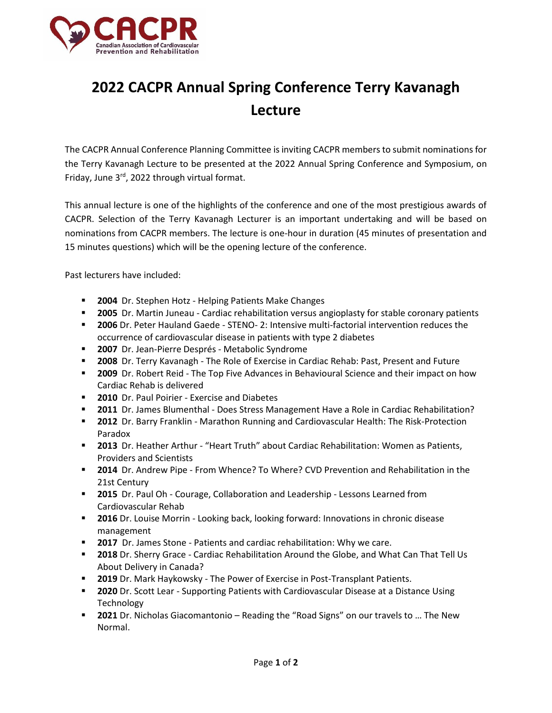

## **2022 CACPR Annual Spring Conference Terry Kavanagh Lecture**

The CACPR Annual Conference Planning Committee is inviting CACPR members to submit nominations for the Terry Kavanagh Lecture to be presented at the 2022 Annual Spring Conference and Symposium, on Friday, June 3<sup>rd</sup>, 2022 through virtual format.

This annual lecture is one of the highlights of the conference and one of the most prestigious awards of CACPR. Selection of the Terry Kavanagh Lecturer is an important undertaking and will be based on nominations from CACPR members. The lecture is one-hour in duration (45 minutes of presentation and 15 minutes questions) which will be the opening lecture of the conference.

Past lecturers have included:

- **2004** Dr. Stephen Hotz Helping Patients Make Changes
- **2005** Dr. Martin Juneau Cardiac rehabilitation versus angioplasty for stable coronary patients
- **2006** Dr. Peter Hauland Gaede STENO- 2: Intensive multi-factorial intervention reduces the occurrence of cardiovascular disease in patients with type 2 diabetes
- **2007** Dr. Jean-Pierre Després Metabolic Syndrome
- **2008** Dr. Terry Kavanagh The Role of Exercise in Cardiac Rehab: Past, Present and Future
- **2009** Dr. Robert Reid The Top Five Advances in Behavioural Science and their impact on how Cardiac Rehab is delivered
- **2010** Dr. Paul Poirier Exercise and Diabetes
- **2011** Dr. James Blumenthal Does Stress Management Have a Role in Cardiac Rehabilitation?
- **2012** Dr. Barry Franklin Marathon Running and Cardiovascular Health: The Risk-Protection Paradox
- **2013** Dr. Heather Arthur "Heart Truth" about Cardiac Rehabilitation: Women as Patients, Providers and Scientists
- **2014** Dr. Andrew Pipe From Whence? To Where? CVD Prevention and Rehabilitation in the 21st Century
- **2015** Dr. Paul Oh Courage, Collaboration and Leadership Lessons Learned from Cardiovascular Rehab
- **2016** Dr. Louise Morrin Looking back, looking forward: Innovations in chronic disease management
- **2017** Dr. James Stone Patients and cardiac rehabilitation: Why we care.
- **2018** Dr. Sherry Grace Cardiac Rehabilitation Around the Globe, and What Can That Tell Us About Delivery in Canada?
- **2019** Dr. Mark Haykowsky The Power of Exercise in Post-Transplant Patients.
- **2020** Dr. Scott Lear Supporting Patients with Cardiovascular Disease at a Distance Using Technology
- **2021** Dr. Nicholas Giacomantonio Reading the "Road Signs" on our travels to ... The New Normal.